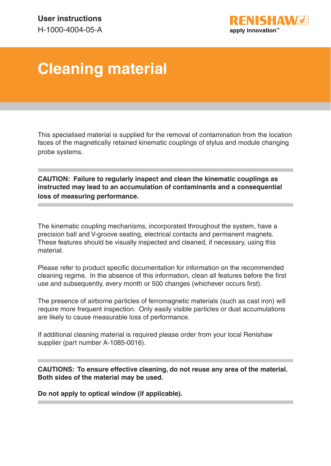

## **Cleaning material**

This specialised material is supplied for the removal of contamination from the location faces of the magnetically retained kinematic couplings of stylus and module changing probe systems.

**CAUTION: Failure to regularly inspect and clean the kinematic couplings as instructed may lead to an accumulation of contaminants and a consequential loss of measuring performance.**

The kinematic coupling mechanisms, incorporated throughout the system, have a precision ball and V-groove seating, electrical contacts and permanent magnets. These features should be visually inspected and cleaned, if necessary, using this material.

Please refer to product specific documentation for information on the recommended cleaning regime. In the absence of this information, clean all features before the first use and subsequently, every month or 500 changes (whichever occurs first).

The presence of airborne particles of ferromagnetic materials (such as cast iron) will require more frequent inspection. Only easily visible particles or dust accumulations are likely to cause measurable loss of performance.

If additional cleaning material is required please order from your local Renishaw supplier (part number A-1085-0016).

**CAUTIONS: To ensure effective cleaning, do not reuse any area of the material. Both sides of the material may be used.**

**Do not apply to optical window (if applicable).**